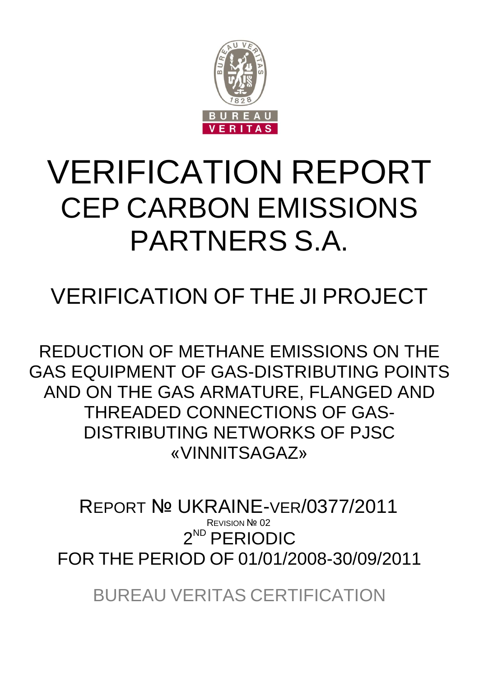

# VERIFICATION REPORT CEP CARBON EMISSIONS PARTNERS S.A.

## VERIFICATION OF THE JI PROJECT

REDUCTION OF METHANE EMISSIONS ON THE GAS EQUIPMENT OF GAS-DISTRIBUTING POINTS AND ON THE GAS ARMATURE, FLANGED AND THREADED CONNECTIONS OF GAS-DISTRIBUTING NETWORKS OF PJSC «VINNITSAGAZ»

2 ND PERIODIC FOR THE PERIOD OF 01/01/2008-30/09/2011 REPORT № UKRAINE-VER/0377/2011 **REVISION Nº 02** 

BUREAU VERITAS CERTIFICATION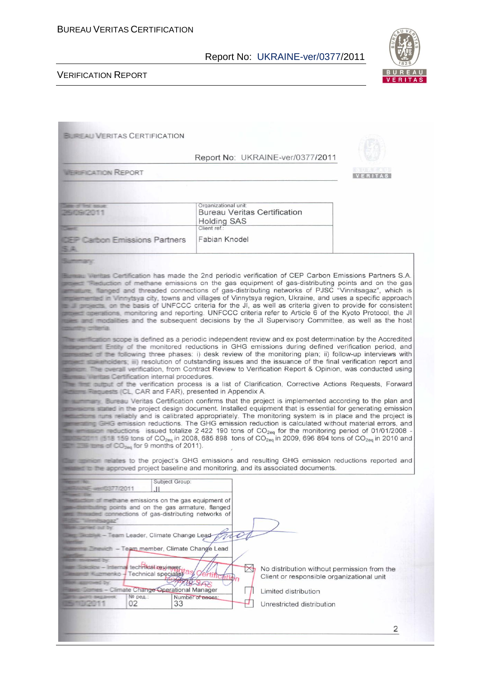

2

|                                                                                                                                                                                                                                                                                                                                                                    | Report No: UKRAINE-ver/0377/2011                                                                                                                                                                                                                                                                                                                                                                                                                                                                                                                                                                                                                                                                                                                                                                                                                                                                                                                                                                                                                                                                                                                                                                                                                                                                                  |                |
|--------------------------------------------------------------------------------------------------------------------------------------------------------------------------------------------------------------------------------------------------------------------------------------------------------------------------------------------------------------------|-------------------------------------------------------------------------------------------------------------------------------------------------------------------------------------------------------------------------------------------------------------------------------------------------------------------------------------------------------------------------------------------------------------------------------------------------------------------------------------------------------------------------------------------------------------------------------------------------------------------------------------------------------------------------------------------------------------------------------------------------------------------------------------------------------------------------------------------------------------------------------------------------------------------------------------------------------------------------------------------------------------------------------------------------------------------------------------------------------------------------------------------------------------------------------------------------------------------------------------------------------------------------------------------------------------------|----------------|
| <b>WEIRIFICATION REPORT</b>                                                                                                                                                                                                                                                                                                                                        |                                                                                                                                                                                                                                                                                                                                                                                                                                                                                                                                                                                                                                                                                                                                                                                                                                                                                                                                                                                                                                                                                                                                                                                                                                                                                                                   | <b>VERITAS</b> |
|                                                                                                                                                                                                                                                                                                                                                                    |                                                                                                                                                                                                                                                                                                                                                                                                                                                                                                                                                                                                                                                                                                                                                                                                                                                                                                                                                                                                                                                                                                                                                                                                                                                                                                                   |                |
|                                                                                                                                                                                                                                                                                                                                                                    | Organizational unit:                                                                                                                                                                                                                                                                                                                                                                                                                                                                                                                                                                                                                                                                                                                                                                                                                                                                                                                                                                                                                                                                                                                                                                                                                                                                                              |                |
| <b>WINDS SOLE</b><br>2503909011                                                                                                                                                                                                                                                                                                                                    | <b>Bureau Veritas Certification</b><br><b>Holding SAS</b>                                                                                                                                                                                                                                                                                                                                                                                                                                                                                                                                                                                                                                                                                                                                                                                                                                                                                                                                                                                                                                                                                                                                                                                                                                                         |                |
| <b>Carbon Emissions Partners</b><br>54                                                                                                                                                                                                                                                                                                                             | Client ref.:<br>Fabian Knodel                                                                                                                                                                                                                                                                                                                                                                                                                                                                                                                                                                                                                                                                                                                                                                                                                                                                                                                                                                                                                                                                                                                                                                                                                                                                                     |                |
| Surfacturer's                                                                                                                                                                                                                                                                                                                                                      |                                                                                                                                                                                                                                                                                                                                                                                                                                                                                                                                                                                                                                                                                                                                                                                                                                                                                                                                                                                                                                                                                                                                                                                                                                                                                                                   |                |
| <b>STARTS IN CITERATES</b>                                                                                                                                                                                                                                                                                                                                         | <b>Communism flamged and threaded connections of gas-distributing networks of PJSC "Vinnitsagaz", which is</b><br>includion winnytsya city, towns and villages of Vinnytsya region, Ukraine, and uses a specific approach<br>and are easts, on the basis of UNFCCC criteria for the JI, as well as criteria given to provide for consistent<br>proved aperations, monitoring and reporting. UNFCCC criteria refer to Article 6 of the Kyoto Protocol, the JI<br>was and modalities and the subsequent decisions by the JI Supervisory Committee, as well as the host<br>The serification scope is defined as a periodic independent review and ex post determination by the Accredited                                                                                                                                                                                                                                                                                                                                                                                                                                                                                                                                                                                                                            |                |
| <b>Elizabeth Australian Sertification internal procedures.</b><br><b>Actions Fequests (CL, CAR and FAR), presented in Appendix A.</b><br><b>Example 19 Interest of CO<sub>200</sub></b> for 9 months of 2011).                                                                                                                                                     | <b>CONSECTED ENDY of the monitored reductions in GHG emissions during defined verification period, and</b><br>consisted of the following three phases: i) desk review of the monitoring plan; ii) follow-up interviews with<br>proceed statistications in) resolution of outstanding issues and the issuance of the final verification report and<br>The overall verification, from Contract Review to Verification Report & Opinion, was conducted using<br>The first pultruit of the verification process is a list of Clarification, Corrective Actions Requests, Forward<br><b>The Contract Contract Veritas Certification confirms that the project is implemented according to the plan and</b><br>stated in the project design document. Installed equipment that is essential for generating emission<br>starts reliably and is calibrated appropriately. The monitoring system is in place and the project is<br>erailing GHG emission reductions. The GHG emission reduction is calculated without material errors, and<br><b>The entire conductions</b> issued totalize 2 422 190 tons of $CO_{2eq}$ for the monitoring period of 01/01/2008 -<br><b>Example 15 and 159 tons of CO<sub>2eq</sub></b> in 2008, 685 898 tons of CO <sub>2eq</sub> in 2009, 696 894 tons of CO <sub>2eq</sub> in 2010 and |                |
|                                                                                                                                                                                                                                                                                                                                                                    | <b>Communicates to the project's GHG emissions and resulting GHG emission reductions reported and</b><br>water to the acoroved project baseline and monitoring, and its associated documents.                                                                                                                                                                                                                                                                                                                                                                                                                                                                                                                                                                                                                                                                                                                                                                                                                                                                                                                                                                                                                                                                                                                     |                |
| Subject Group:<br>E-vent0377/2011<br>of methane emissions on the gas equipment of                                                                                                                                                                                                                                                                                  |                                                                                                                                                                                                                                                                                                                                                                                                                                                                                                                                                                                                                                                                                                                                                                                                                                                                                                                                                                                                                                                                                                                                                                                                                                                                                                                   |                |
| ling points and on the gas armature, flanged<br>ed commections of gas-distributing networks of<br>- Team Leader, Climate Change Lead-<br><b>The First - Team member, Climate Change Lead</b><br>wed by<br>tw-linternal technical reviewer<br><b>Emerko</b> - Technical specialist<br><b>Elbur</b><br><b>Es-Climate Change Operational Manager</b><br>№ ред.:<br>02 | 40<br>No distribution without permission from the<br>Client or responsible organizational unit<br>Limited distribution<br>Number of pages:<br>33<br>Unrestricted distribution                                                                                                                                                                                                                                                                                                                                                                                                                                                                                                                                                                                                                                                                                                                                                                                                                                                                                                                                                                                                                                                                                                                                     |                |
|                                                                                                                                                                                                                                                                                                                                                                    |                                                                                                                                                                                                                                                                                                                                                                                                                                                                                                                                                                                                                                                                                                                                                                                                                                                                                                                                                                                                                                                                                                                                                                                                                                                                                                                   |                |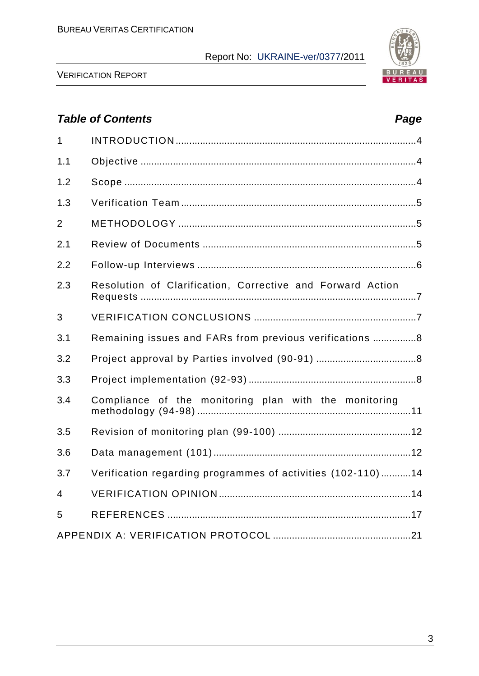

VERIFICATION REPORT

## *Table of Contents Page*

| $\mathbf{1}$   |                                                             |
|----------------|-------------------------------------------------------------|
| 1.1            |                                                             |
| 1.2            |                                                             |
| 1.3            |                                                             |
| $\overline{2}$ |                                                             |
| 2.1            |                                                             |
| 2.2            |                                                             |
| 2.3            | Resolution of Clarification, Corrective and Forward Action  |
| 3              |                                                             |
| 3.1            | Remaining issues and FARs from previous verifications 8     |
| 3.2            |                                                             |
| 3.3            |                                                             |
| 3.4            | Compliance of the monitoring plan with the monitoring       |
| 3.5            |                                                             |
| 3.6            |                                                             |
| 3.7            | Verification regarding programmes of activities (102-110)14 |
| $\overline{4}$ |                                                             |
| 5              |                                                             |
|                |                                                             |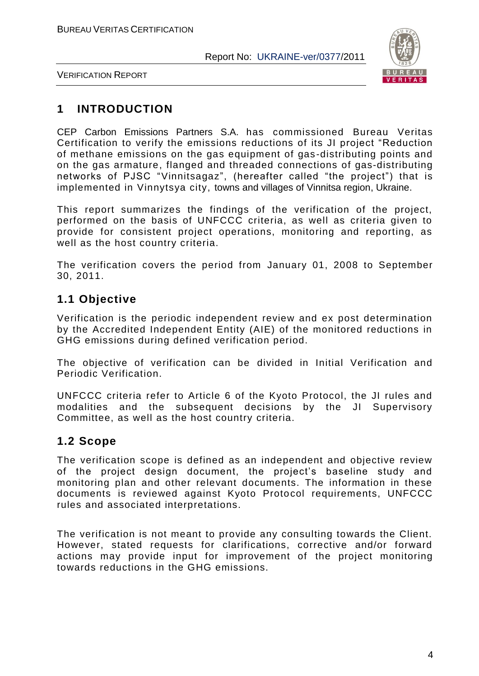

VERIFICATION REPORT

## **1 INTRODUCTION**

CEP Carbon Emissions Partners S.A. has commissioned Bureau Veritas Certification to verify the emissions reductions of its JI project "Reduction of methane emissions on the gas equipment of gas -distributing points and on the gas armature, flanged and threaded connections of gas-distributing networks of PJSC "Vinnitsagaz", (hereafter called "the project") that is implemented in Vinnytsya city, towns and villages of Vinnitsa region, Ukraine.

This report summarizes the findings of the verification of the project, performed on the basis of UNFCCC criteria, as well as criteria given to provide for consistent project operations, monitoring and reporting, as well as the host country criteria.

The verification covers the period from January 01, 2008 to September 30, 2011.

## **1.1 Objective**

Verification is the periodic independent review and ex post determination by the Accredited Independent Entity (AIE) of the monitored reductions in GHG emissions during defined verification period.

The objective of verification can be divided in Initial Verification and Periodic Verification.

UNFCCC criteria refer to Article 6 of the Kyoto Protocol, the JI rules and modalities and the subsequent decisions by the JI Supervisory Committee, as well as the host country criteria.

## **1.2 Scope**

The verification scope is defined as an independent and objective review of the project design document, the project's baseline study and monitoring plan and other relevant documents. The information in these documents is reviewed against Kyoto Protocol requirements, UNFCCC rules and associated interpretations.

The verification is not meant to provide any consulting towards the Client. However, stated requests for clarifications, corrective and/or forward actions may provide input for improvement of the project monitoring towards reductions in the GHG emissions.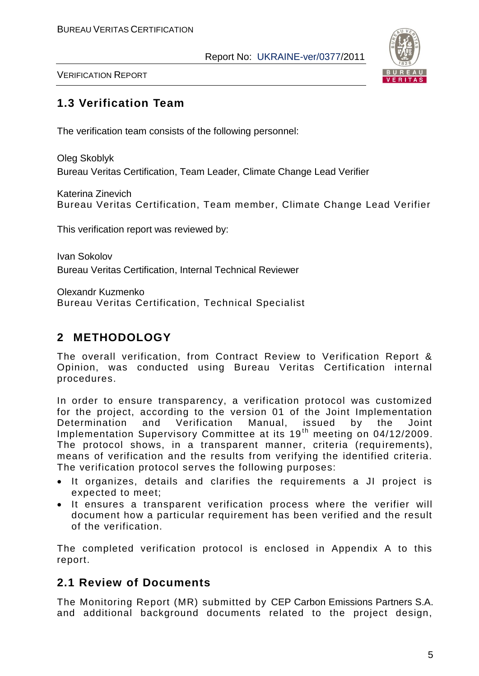

VERIFICATION REPORT

## **1.3 Verification Team**

The verification team consists of the following personnel:

Oleg Skoblyk Bureau Veritas Certification, Team Leader, Climate Change Lead Verifier

Katerina Zinevich Bureau Veritas Certification, Team member, Climate Change Lead Verifier

This verification report was reviewed by:

Ivan Sokolov Bureau Veritas Certification, Internal Technical Reviewer

Olexandr Kuzmenko

Bureau Veritas Certification, Technical Specialist

## **2 METHODOLOGY**

The overall verification, from Contract Review to Verification Report & Opinion, was conducted using Bureau Veritas Certification internal procedures.

In order to ensure transparency, a verification protocol was customized for the project, according to the version 01 of the Joint Implementation Determination and Verification Manual, issued by the Joint Implementation Supervisory Committee at its 19<sup>th</sup> meeting on 04/12/2009. The protocol shows, in a transparent manner, criteria (requirements), means of verification and the results from verifying the identified criteria. The verification protocol serves the following purposes:

- It organizes, details and clarifies the requirements a JI project is expected to meet;
- It ensures a transparent verification process where the verifier will document how a particular requirement has been verified and the result of the verification.

The completed verification protocol is enclosed in Appendix A to this report.

## **2.1 Review of Documents**

The Monitoring Report (MR) submitted by CEP Carbon Emissions Partners S.A. and additional background documents related to the project design,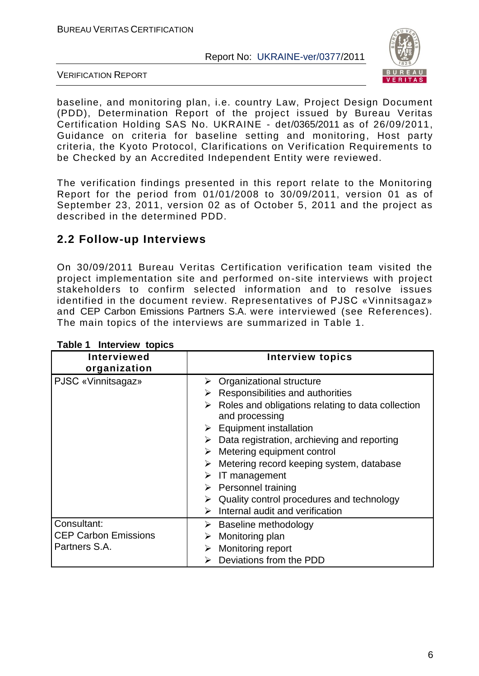

VERIFICATION REPORT

baseline, and monitoring plan, i.e. country Law, Project Design Document (PDD), Determination Report of the project issued by Bureau Veritas Certification Holding SAS No. UKRAINE - det/0365/2011 as of 26/09/2011, Guidance on criteria for baseline setting and monitoring, Host party criteria, the Kyoto Protocol, Clarifications on Verification Requirements to be Checked by an Accredited Independent Entity were reviewed.

The verification findings presented in this report relate to the Monitoring Report for the period from 01/01/2008 to 30/09/2011, version 01 as of September 23, 2011, version 02 as of October 5, 2011 and the project as described in the determined PDD.

## **2.2 Follow-up Interviews**

On 30/09/2011 Bureau Veritas Certification verification team visited the project implementation site and performed on-site interviews with project stakeholders to confirm selected information and to resolve issues identified in the document review. Representatives of PJSC «Vinnitsagaz» and CEP Carbon Emissions Partners S.A. were interviewed (see References). The main topics of the interviews are summarized in Table 1.

| <b>Interviewed</b><br>organization                          | <b>Interview topics</b>                                                                                                                                                                                                                                                                                                                                                                                                                                                                      |
|-------------------------------------------------------------|----------------------------------------------------------------------------------------------------------------------------------------------------------------------------------------------------------------------------------------------------------------------------------------------------------------------------------------------------------------------------------------------------------------------------------------------------------------------------------------------|
| PJSC «Vinnitsagaz»                                          | Organizational structure<br>≻<br>Responsibilities and authorities<br>➤<br>Roles and obligations relating to data collection<br>➤<br>and processing<br>$\triangleright$ Equipment installation<br>Data registration, archieving and reporting<br>➤<br>Metering equipment control<br>➤<br>Metering record keeping system, database<br>➤<br>IT management<br>➤<br>$\triangleright$ Personnel training<br>Quality control procedures and technology<br>➤<br>Internal audit and verification<br>➤ |
| Consultant:<br><b>CEP Carbon Emissions</b><br>Partners S.A. | Baseline methodology<br>➤<br>Monitoring plan<br>➤<br>Monitoring report<br>➤<br>Deviations from the PDD                                                                                                                                                                                                                                                                                                                                                                                       |

#### **Table 1 Interview topics**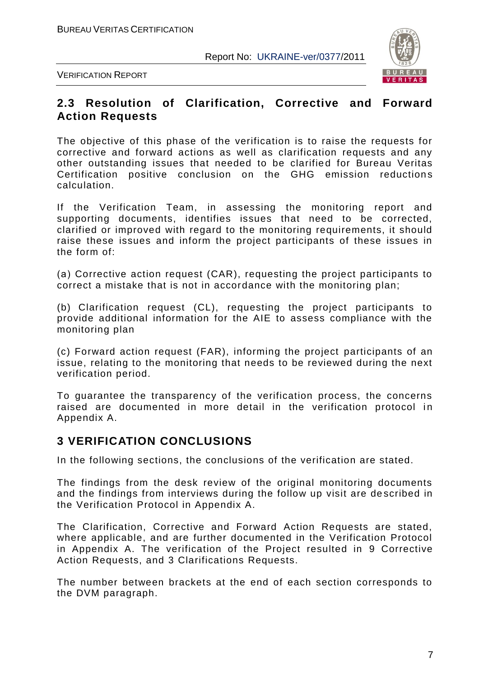

VERIFICATION REPORT

#### **2.3 Resolution of Clarification, Corrective and Forward Action Requests**

The objective of this phase of the verification is to raise the requests for corrective and forward actions as well as clarification requests and any other outstanding issues that needed to be clarified for Bureau Veritas Certification positive conclusion on the GHG emission reductions calculation.

If the Verification Team, in assessing the monitoring report and supporting documents, identifies issues that need to be corrected, clarified or improved with regard to the monitoring requirements, it should raise these issues and inform the project participants of these issues in the form of:

(а) Corrective action request (CAR), requesting the project participants to correct a mistake that is not in accordance with the monitoring plan;

(b) Clarification request (CL), requesting the project participants to provide additional information for the AIE to assess compliance with the monitoring plan

(c) Forward action request (FAR), informing the project participants of an issue, relating to the monitoring that needs to be reviewed during the next verification period.

To guarantee the transparency of the verification process, the concerns raised are documented in more detail in the verification protocol in Appendix A.

## **3 VERIFICATION CONCLUSIONS**

In the following sections, the conclusions of the verification are stated.

The findings from the desk review of the original monitoring documents and the findings from interviews during the follow up visit are de scribed in the Verification Protocol in Appendix A.

The Clarification, Corrective and Forward Action Requests are stated, where applicable, and are further documented in the Verification Protocol in Appendix A. The verification of the Project resulted in 9 Corrective Action Requests, and 3 Clarifications Requests.

The number between brackets at the end of each section corresponds to the DVM paragraph.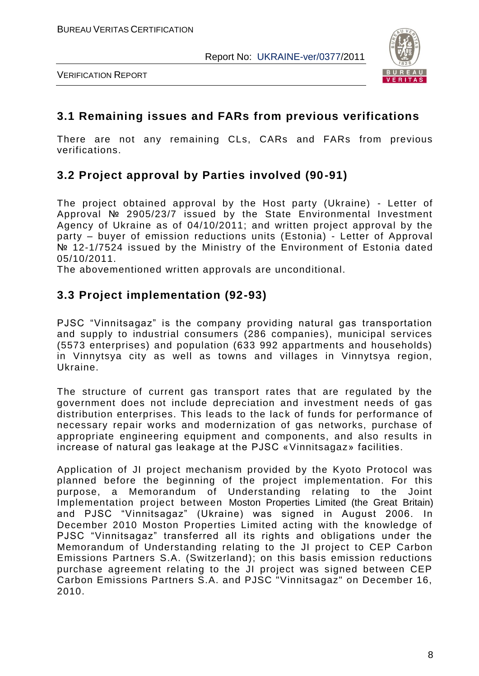

VERIFICATION REPORT

#### **3.1 Remaining issues and FARs from previous verifications**

There are not any remaining CLs, CARs and FARs from previous verifications.

## **3.2 Project approval by Parties involved (90-91)**

The project obtained approval by the Host party (Ukraine) - Letter of Approval № 2905/23/7 issued by the State Environmental Investment Agency of Ukraine as of 04/10/2011; and written project approval by the party – buyer of emission reductions units (Estonia) - Letter of Approval № 12-1/7524 issued by the Ministry of the Environment of Estonia dated 05/10/2011.

The abovementioned written approvals are unconditional.

## **3.3 Project implementation (92-93)**

PJSC "Vinnitsagaz" is the company providing natural gas transportation and supply to industrial consumers (286 companies), municipal services (5573 enterprises) and population (633 992 appartments and households) in Vinnytsya city as well as towns and villages in Vinnytsya region, Ukraine.

The structure of current gas transport rates that are regulated by the government does not include depreciation and investment needs of gas distribution enterprises. This leads to the lack of funds for performance of necessary repair works and modernization of gas networks, purchase of appropriate engineering equipment and components, and also results in increase of natural gas leakage at the PJSC «Vinnitsagaz» facilities.

Application of JI project mechanism provided by the Kyoto Protocol was planned before the beginning of the project implementation. For this purpose, a Memorandum of Understanding relating to the Joint Implementation project between Moston Properties Limited (the Great Britain) and PJSC "Vinnitsagaz" (Ukraine) was signed in August 2006. In December 2010 Moston Properties Limited acting with the knowledge of PJSC "Vinnitsagaz" transferred all its rights and obligations under the Memorandum of Understanding relating to the JI project to CEP Carbon Emissions Partners S.A. (Switzerland); on this basis emission reductions purchase agreement relating to the JI project was signed between CEP Carbon Emissions Partners S.A. and PJSC "Vinnitsagaz" on December 16, 2010.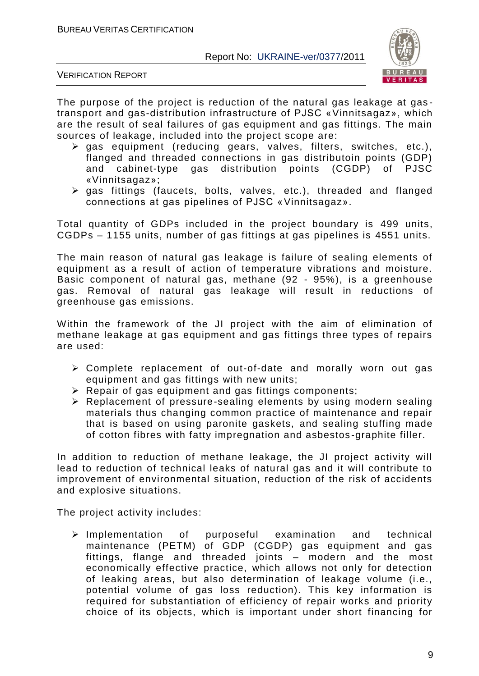

VERIFICATION REPORT

The purpose of the project is reduction of the natural gas leakage at gastransport and gas-distribution infrastructure of PJSC «Vinnitsagaz», which are the result of seal failures of gas equipment and gas fittings. The main sources of leakage, included into the project scope are:

- $\triangleright$  gas equipment (reducing gears, valves, filters, switches, etc.), flanged and threaded connections in gas distributoin points (GDP) and cabinet-type gas distribution points (CGDP) of PJSC «Vinnitsagaz»;
- $\triangleright$  gas fittings (faucets, bolts, valves, etc.), threaded and flanged connections at gas pipelines of PJSC «Vinnitsagaz».

Total quantity of GDPs included in the project boundary is 499 units, CGDPs – 1155 units, number of gas fittings at gas pipelines is 4551 units.

The main reason of natural gas leakage is failure of sealing elements of equipment as a result of action of temperature vibrations and moisture. Basic component of natural gas, methane (92 - 95%), is a greenhouse gas. Removal of natural gas leakage will result in reductions of greenhouse gas emissions.

Within the framework of the JI project with the aim of elimination of methane leakage at gas equipment and gas fittings three types of repairs are used:

- Complete replacement of out-of-date and morally worn out gas equipment and gas fittings with new units;
- $\triangleright$  Repair of gas equipment and gas fittings components;
- $\triangleright$  Replacement of pressure-sealing elements by using modern sealing materials thus changing common practice of maintenance and repair that is based on using paronite gaskets, and sealing stuffing made of cotton fibres with fatty impregnation and asbestos -graphite filler.

In addition to reduction of methane leakage, the JI project activity will lead to reduction of technical leaks of natural gas and it will contribute to improvement of environmental situation, reduction of the risk of accidents and explosive situations.

The project activity includes:

 $\triangleright$  Implementation of purposeful examination and technical maintenance (PETM) of GDP (CGDP) gas equipment and gas fittings, flange and threaded joints – modern and the most economically effective practice, which allows not only for detection of leaking areas, but also determination of leakage volume (i.e., potential volume of gas loss reduction). This key information is required for substantiation of efficiency of repair works and priority choice of its objects, which is important under short financing for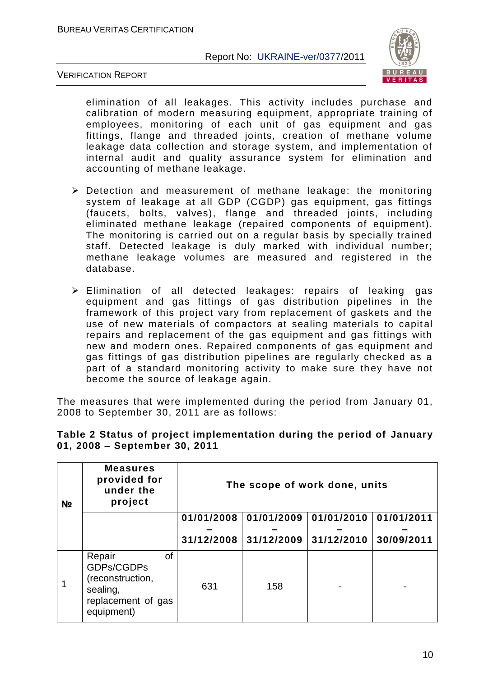

VERIFICATION REPORT

elimination of all leakages. This activity includes purchase and calibration of modern measuring equipment, appropriate training of employees, monitoring of each unit of gas equipment and gas fittings, flange and threaded joints, creation of methane volume leakage data collection and storage system, and implementation of internal audit and quality assurance system for elimination and accounting of methane leakage.

- $\triangleright$  Detection and measurement of methane leakage: the monitoring system of leakage at all GDP (CGDP) gas equipment, gas fittings (faucets, bolts, valves), flange and threaded joints, including eliminated methane leakage (repaired components of equipment). The monitoring is carried out on a regular basis by specially trained staff. Detected leakage is duly marked with individual number; methane leakage volumes are measured and registered in the database.
- Elimination of all detected leakages: repairs of leaking gas equipment and gas fittings of gas distribution pipelines in the framework of this project vary from replacement of gaskets and the use of new materials of compactors at sealing materials to capital repairs and replacement of the gas equipment and gas fittings with new and modern ones. Repaired components of gas equipment and gas fittings of gas distribution pipelines are regularly checked as a part of a standard monitoring activity to make sure they have not become the source of leakage again.

The measures that were implemented during the period from January 01, 2008 to September 30, 2011 are as follows:

| N <sub>2</sub> | <b>Measures</b><br>provided for<br>under the<br>project                                               | The scope of work done, units |                         |                         |            |  |  |  |  |
|----------------|-------------------------------------------------------------------------------------------------------|-------------------------------|-------------------------|-------------------------|------------|--|--|--|--|
|                |                                                                                                       | 01/01/2008                    | 01/01/2009              | $01/01/2010$ 01/01/2011 |            |  |  |  |  |
|                |                                                                                                       |                               | $31/12/2008$ 31/12/2009 | 31/12/2010              | 30/09/2011 |  |  |  |  |
|                | Repair<br><b>of</b><br>GDPs/CGDPs<br>(reconstruction,<br>sealing,<br>replacement of gas<br>equipment) | 631                           | 158                     |                         |            |  |  |  |  |

#### **Table 2 Status of project implementation during the period of January 01, 2008 – September 30, 2011**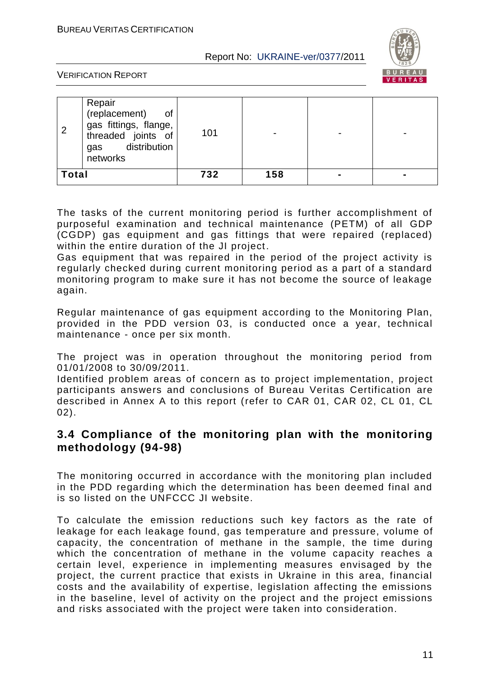

VERIFICATION REPORT

|              | Repair<br>(replacement)<br>οf<br>gas fittings, flange,<br>threaded joints of<br>distribution<br>gas<br>networks | 101 |     |   |  |
|--------------|-----------------------------------------------------------------------------------------------------------------|-----|-----|---|--|
| <b>Total</b> |                                                                                                                 | 732 | 158 | - |  |

The tasks of the current monitoring period is further accomplishment of purposeful examination and technical maintenance (PETM) of all GDP (CGDP) gas equipment and gas fittings that were repaired (replaced) within the entire duration of the JI project.

Gas equipment that was repaired in the period of the project activity is regularly checked during current monitoring period as a part of a standard monitoring program to make sure it has not become the source of leakage again.

Regular maintenance of gas equipment according to the Monitoring Plan, provided in the PDD version 03, is conducted once a year, technical maintenance - once per six month.

The project was in operation throughout the monitoring period from 01/01/2008 to 30/09/2011.

Identified problem areas of concern as to project implementation, project participants answers and conclusions of Bureau Veritas Certification are described in Annex A to this report (refer to CAR 01, CAR 02, CL 01, CL 02).

## **3.4 Compliance of the monitoring plan with the monitoring methodology (94-98)**

The monitoring occurred in accordance with the monitoring plan included in the PDD regarding which the determination has been deemed final and is so listed on the UNFCCC JI website.

To calculate the emission reductions such key factors as the rate of leakage for each leakage found, gas temperature and pressure, volume of capacity, the concentration of methane in the sample, the time during which the concentration of methane in the volume capacity reaches a certain level, experience in implementing measures envisaged by the project, the current practice that exists in Ukraine in this area, financial costs and the availability of expertise, legislation affecting the emissions in the baseline, level of activity on the project and the project emissions and risks associated with the project were taken into consideration.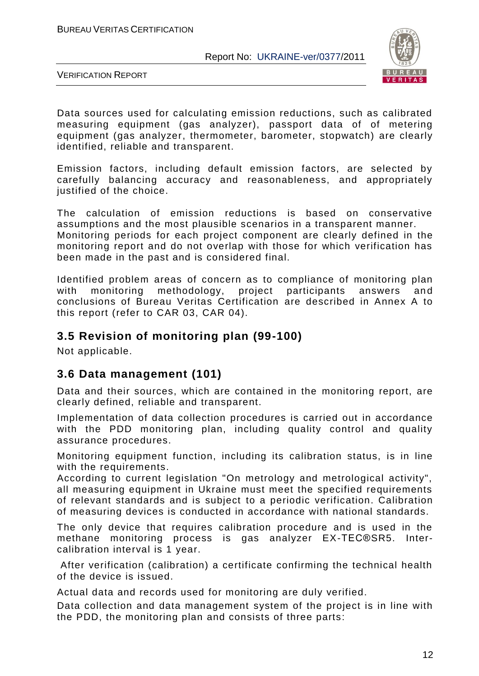

VERIFICATION REPORT

Data sources used for calculating emission reductions, such as calibrated measuring equipment (gas analyzer), passport data of of metering equipment (gas analyzer, thermometer, barometer, stopwatch) are clearly identified, reliable and transparent.

Emission factors, including default emission factors, are selected by carefully balancing accuracy and reasonableness, and appropriately justified of the choice.

The calculation of emission reductions is based on conservative assumptions and the most plausible scenarios in a transparent manner. Monitoring periods for each project component are clearly defined in the monitoring report and do not overlap with those for which verification has been made in the past and is considered final.

Identified problem areas of concern as to compliance of monitoring plan with monitoring methodology, project participants answers and conclusions of Bureau Veritas Certification are described in Annex A to this report (refer to CAR 03, CAR 04).

#### **3.5 Revision of monitoring plan (99-100)**

Not applicable.

## **3.6 Data management (101)**

Data and their sources, which are contained in the monitoring report, are clearly defined, reliable and transparent.

Implementation of data collection procedures is carried out in accordance with the PDD monitoring plan, including quality control and quality assurance procedures.

Monitoring equipment function, including its calibration status, is in line with the requirements.

According to current legislation "On metrology and metrological activity", all measuring equipment in Ukraine must meet the specified requirements of relevant standards and is subject to a periodic verification. Calibration of measuring devices is conducted in accordance with national standards.

The only device that requires calibration procedure and is used in the methane monitoring process is gas analyzer EX-TEC®SR5. Intercalibration interval is 1 year.

After verification (calibration) a certificate confirming the technical health of the device is issued.

Actual data and records used for monitoring are duly verified.

Data collection and data management system of the project is in line with the PDD, the monitoring plan and consists of three parts: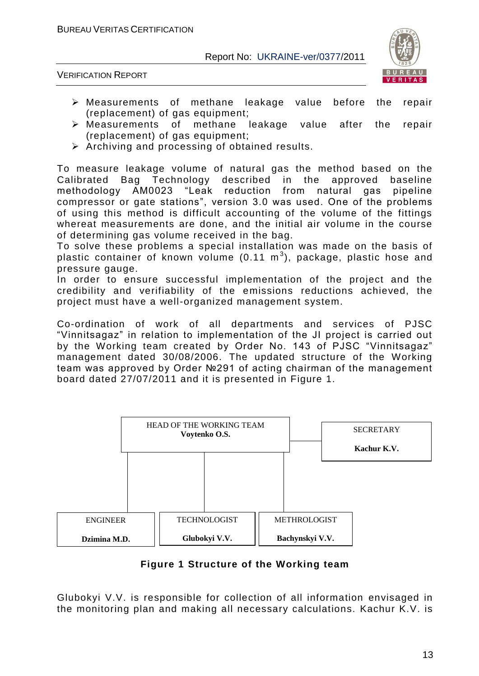

VERIFICATION REPORT

- Measurements of methane leakage value before the repair (replacement) of gas equipment;
- Measurements of methane leakage value after the repair (replacement) of gas equipment;
- $\triangleright$  Archiving and processing of obtained results.

To measure leakage volume of natural gas the method based on the Calibrated Bag Technology described in the approved baseline methodology AM0023 "Leak reduction from natural gas pipeline compressor or gate stations", version 3.0 was used. One of the problems of using this method is difficult accounting of the volume of the fittings whereat measurements are done, and the initial air volume in the course of determining gas volume received in the bag.

To solve these problems a special installation was made on the basis of plastic container of known volume (0.11  $\text{m}^{3}$ ), package, plastic hose and pressure gauge.

In order to ensure successful implementation of the project and the credibility and verifiability of the emissions reductions achieved, the project must have a well-organized management system.

Co-ordination of work of all departments and services of PJSC "Vinnitsagaz" in relation to implementation of the JI project is carried out by the Working team created by Order No. 143 of PJSC "Vinnitsagaz" management dated 30/08/2006. The updated structure of the Working team was approved by Order №291 of acting chairman of the management board dated 27/07/2011 and it is presented in Figure 1.



**Figure 1 Structure of the Working team**

Glubokyi V.V. is responsible for collection of all information envisaged in the monitoring plan and making all necessary calculations. Kachur K.V. is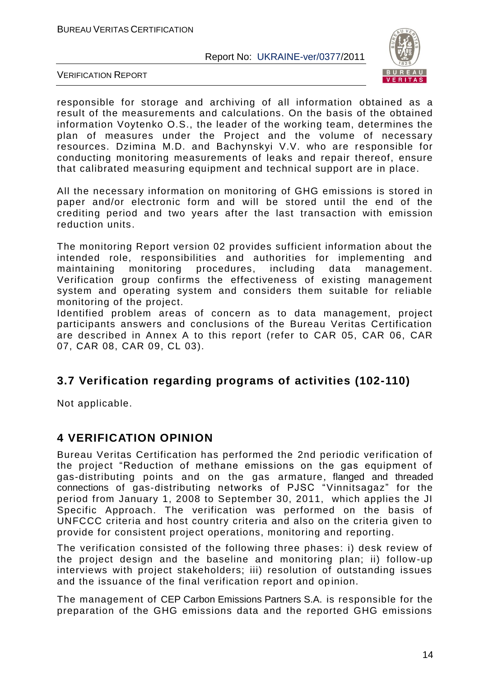

VERIFICATION REPORT

responsible for storage and archiving of all information obtained as a result of the measurements and calculations. On the basis of the obtained information Voytenko O.S., the leader of the working team, determines the plan of measures under the Project and the volume of necessary resources. Dzimina M.D. and Bachynskyi V.V. who are responsible for conducting monitoring measurements of leaks and repair thereof, ensure that calibrated measuring equipment and technical support are in place.

All the necessary information on monitoring of GHG emissions is stored in paper and/or electronic form and will be stored until the end of the crediting period and two years after the last transaction with emission reduction units.

The monitoring Report version 02 provides sufficient information about the intended role, responsibilities and authorities for implementing and maintaining monitoring procedures, including data management. Verification group confirms the effectiveness of existing management system and operating system and considers them suitable for reliable monitoring of the project.

Identified problem areas of concern as to data management, project participants answers and conclusions of the Bureau Veritas Certification are described in Annex A to this report (refer to CAR 05, CAR 06, CAR 07, CAR 08, CAR 09, CL 03).

## **3.7 Verification regarding programs of activities (102-110)**

Not applicable.

## **4 VERIFICATION OPINION**

Bureau Veritas Certification has performed the 2nd periodic verification of the project "Reduction of methane emissions on the gas equipment of gas-distributing points and on the gas armature, flanged and threaded connections of gas-distributing networks of PJSC "Vinnitsagaz" for the period from January 1, 2008 to September 30, 2011, which applies the JI Specific Approach. The verification was performed on the basis of UNFCCC criteria and host country criteria and also on the criteria given to provide for consistent project operations, monitoring and reporting.

The verification consisted of the following three phases: i) desk review of the project design and the baseline and monitoring plan; ii) follow -up interviews with project stakeholders; iii) resolution of outstanding issues and the issuance of the final verification report and opinion.

The management of CEP Carbon Emissions Partners S.A. is responsible for the preparation of the GHG emissions data and the reported GHG emissions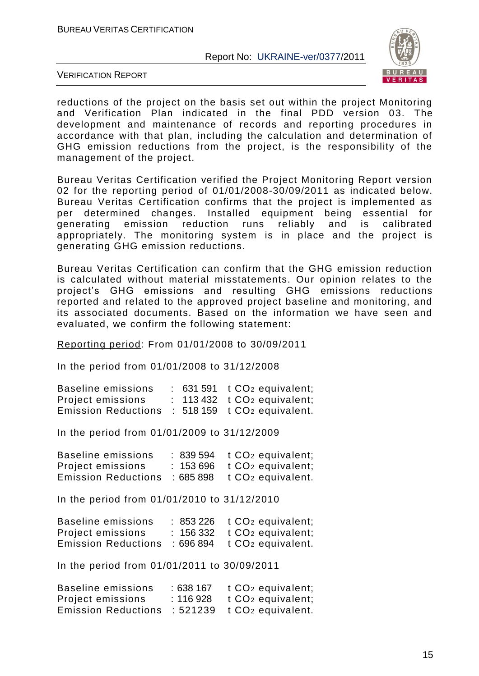

VERIFICATION REPORT

reductions of the project on the basis set out within the project Monitoring and Verification Plan indicated in the final PDD version 03. The development and maintenance of records and reporting procedures in accordance with that plan, including the calculation and determination of GHG emission reductions from the project, is the responsibility of the management of the project.

Bureau Veritas Certification verified the Project Monitoring Report version 02 for the reporting period of 01/01/2008-30/09/2011 as indicated below. Bureau Veritas Certification confirms that the project is implemented as per determined changes. Installed equipment being essential for generating emission reduction runs reliably and is calibrated appropriately. The monitoring system is in place and the project is generating GHG emission reductions.

Bureau Veritas Certification can confirm that the GHG emission reduction is calculated without material misstatements. Our opinion relates to the project's GHG emissions and resulting GHG emissions reductions reported and related to the approved project baseline and monitoring, and its associated documents. Based on the information we have seen and evaluated, we confirm the following statement:

Reporting period: From 01/01/2008 to 30/09/2011

In the period from 01/01/2008 to 31/12/2008

| Baseline emissions         |  | $: 631591 \tCO2$ equivalent;   |
|----------------------------|--|--------------------------------|
| Project emissions          |  | $: 113432$ t $CO2$ equivalent; |
| <b>Emission Reductions</b> |  | $: 518159$ t $CO2$ equivalent. |

In the period from 01/01/2009 to 31/12/2009

| Baseline emissions         |          | $: 839594$ t $CO2$ equivalent;                |
|----------------------------|----------|-----------------------------------------------|
| Project emissions          |          | $: 153696$ $\top$ CO <sub>2</sub> equivalent; |
| <b>Emission Reductions</b> | :685 898 | t CO <sub>2</sub> equivalent.                 |

In the period from 01/01/2010 to 31/12/2010

| Baseline emissions         |          | $: 853226$ t $CO2$ equivalent;               |
|----------------------------|----------|----------------------------------------------|
| Project emissions          |          | $: 156332$ $\pm$ CO <sub>2</sub> equivalent; |
| <b>Emission Reductions</b> | :696 894 | t CO <sub>2</sub> equivalent.                |

In the period from 01/01/2011 to 30/09/2011

| Baseline emissions         | : 638 167 | t CO <sub>2</sub> equivalent; |
|----------------------------|-----------|-------------------------------|
| Project emissions          | : 116 928 | t CO <sub>2</sub> equivalent; |
| <b>Emission Reductions</b> | :521239   | t CO <sub>2</sub> equivalent. |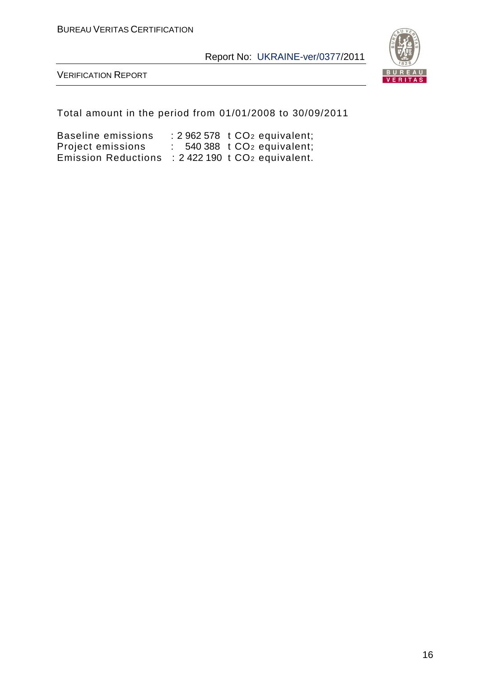

VERIFICATION REPORT

Total amount in the period from 01/01/2008 to 30/09/2011

Baseline emissions : 2 962 578 t CO<sup>2</sup> equivalent; Project emissions : 540 388t CO<sup>2</sup> equivalent; Emission Reductions : 2 422 190 t CO<sup>2</sup> equivalent.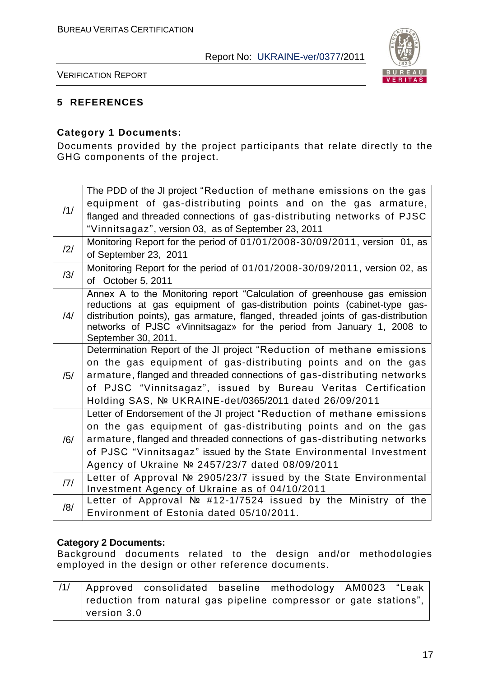

VERIFICATION REPORT

#### **5 REFERENCES**

#### **Category 1 Documents:**

Documents provided by the project participants that relate directly to the GHG components of the project.

|     | The PDD of the JI project "Reduction of methane emissions on the gas                                                                                      |
|-----|-----------------------------------------------------------------------------------------------------------------------------------------------------------|
| /1/ | equipment of gas-distributing points and on the gas armature,                                                                                             |
|     | flanged and threaded connections of gas-distributing networks of PJSC                                                                                     |
|     | "Vinnitsagaz", version 03, as of September 23, 2011                                                                                                       |
| /2/ | Monitoring Report for the period of 01/01/2008-30/09/2011, version 01, as                                                                                 |
|     | of September 23, 2011                                                                                                                                     |
| /3/ | Monitoring Report for the period of 01/01/2008-30/09/2011, version 02, as                                                                                 |
|     | of October 5, 2011                                                                                                                                        |
|     | Annex A to the Monitoring report "Calculation of greenhouse gas emission                                                                                  |
|     | reductions at gas equipment of gas-distribution points (cabinet-type gas-                                                                                 |
| /4/ | distribution points), gas armature, flanged, threaded joints of gas-distribution<br>networks of PJSC «Vinnitsagaz» for the period from January 1, 2008 to |
|     | September 30, 2011.                                                                                                                                       |
|     | Determination Report of the JI project "Reduction of methane emissions                                                                                    |
|     | on the gas equipment of gas-distributing points and on the gas                                                                                            |
| /5/ | armature, flanged and threaded connections of gas-distributing networks                                                                                   |
|     | of PJSC "Vinnitsagaz", issued by Bureau Veritas Certification                                                                                             |
|     | Holding SAS, Nº UKRAINE-det/0365/2011 dated 26/09/2011                                                                                                    |
|     | Letter of Endorsement of the JI project "Reduction of methane emissions                                                                                   |
|     | on the gas equipment of gas-distributing points and on the gas                                                                                            |
| /6/ | armature, flanged and threaded connections of gas-distributing networks                                                                                   |
|     | of PJSC "Vinnitsagaz" issued by the State Environmental Investment                                                                                        |
|     | Agency of Ukraine Nº 2457/23/7 dated 08/09/2011                                                                                                           |
| 7   | Letter of Approval № 2905/23/7 issued by the State Environmental                                                                                          |
|     | Investment Agency of Ukraine as of 04/10/2011                                                                                                             |
| /8/ | Letter of Approval № #12-1/7524 issued by the Ministry of the<br>Environment of Estonia dated 05/10/2011.                                                 |
|     |                                                                                                                                                           |

#### **Category 2 Documents:**

Background documents related to the design and/or methodologies employed in the design or other reference documents.

|             |  |  | /1/   Approved consolidated baseline methodology AM0023 "Leak     |  |  |
|-------------|--|--|-------------------------------------------------------------------|--|--|
|             |  |  | reduction from natural gas pipeline compressor or gate stations", |  |  |
| version 3.0 |  |  |                                                                   |  |  |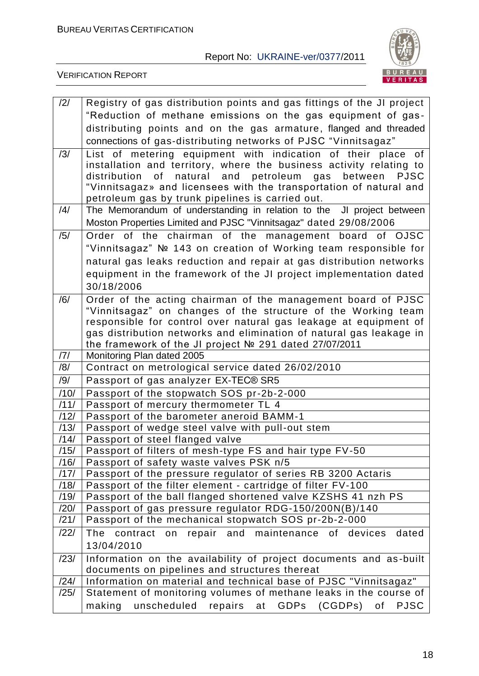

| /2/          | Registry of gas distribution points and gas fittings of the JI project                                                        |
|--------------|-------------------------------------------------------------------------------------------------------------------------------|
|              | "Reduction of methane emissions on the gas equipment of gas-                                                                  |
|              | distributing points and on the gas armature, flanged and threaded                                                             |
|              | connections of gas-distributing networks of PJSC "Vinnitsagaz"                                                                |
| /3/          | List of metering equipment with indication of their place of                                                                  |
|              | installation and territory, where the business activity relating to                                                           |
|              | distribution of<br>natural and petroleum<br>gas<br>between<br><b>PJSC</b>                                                     |
|              | "Vinnitsagaz» and licensees with the transportation of natural and                                                            |
| /4/          | petroleum gas by trunk pipelines is carried out.<br>The Memorandum of understanding in relation to the JI project between     |
|              | Moston Properties Limited and PJSC "Vinnitsagaz" dated 29/08/2006                                                             |
| /5/          |                                                                                                                               |
|              | Order of the chairman of the management board of OJSC                                                                         |
|              | "Vinnitsagaz" № 143 on creation of Working team responsible for                                                               |
|              | natural gas leaks reduction and repair at gas distribution networks                                                           |
|              | equipment in the framework of the JI project implementation dated                                                             |
|              | 30/18/2006                                                                                                                    |
| /6/          | Order of the acting chairman of the management board of PJSC<br>"Vinnitsagaz" on changes of the structure of the Working team |
|              | responsible for control over natural gas leakage at equipment of                                                              |
|              | gas distribution networks and elimination of natural gas leakage in                                                           |
|              | the framework of the JI project № 291 dated 27/07/2011                                                                        |
| /7/          | Monitoring Plan dated 2005                                                                                                    |
| /8/          | Contract on metrological service dated 26/02/2010                                                                             |
| /9/          | Passport of gas analyzer EX-TEC® SR5                                                                                          |
| /10/         | Passport of the stopwatch SOS pr-2b-2-000                                                                                     |
| /11/         | Passport of mercury thermometer TL 4                                                                                          |
| /12/         | Passport of the barometer aneroid BAMM-1                                                                                      |
| /13/         | Passport of wedge steel valve with pull-out stem                                                                              |
| /14/         | Passport of steel flanged valve                                                                                               |
| /15/<br>/16/ | Passport of filters of mesh-type FS and hair type FV-50<br>Passport of safety waste valves PSK n/5                            |
| /17/         | Passport of the pressure regulator of series RB 3200 Actaris                                                                  |
| /18/         | Passport of the filter element - cartridge of filter FV-100                                                                   |
| /19/         | Passport of the ball flanged shortened valve KZSHS 41 nzh PS                                                                  |
| /20/         | Passport of gas pressure regulator RDG-150/200N(B)/140                                                                        |
| /21/         | Passport of the mechanical stopwatch SOS pr-2b-2-000                                                                          |
| /22/         | on repair and maintenance of devices<br>The<br>contract<br>dated                                                              |
|              | 13/04/2010                                                                                                                    |
| /23/         | Information on the availability of project documents and as-built                                                             |
|              | documents on pipelines and structures thereat                                                                                 |
| /24/         | Information on material and technical base of PJSC "Vinnitsagaz"                                                              |
| /25/         | Statement of monitoring volumes of methane leaks in the course of                                                             |
|              | unscheduled<br>repairs at GDPs (CGDPs)<br>making<br>of<br><b>PJSC</b>                                                         |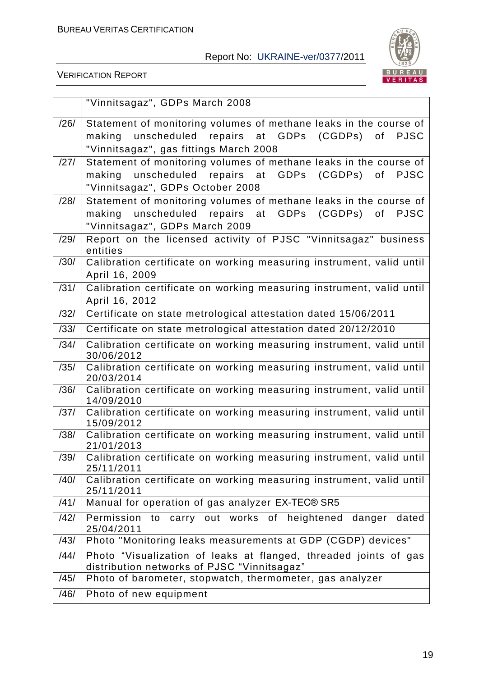

|      | "Vinnitsagaz", GDPs March 2008                                                                          |
|------|---------------------------------------------------------------------------------------------------------|
| /26/ | Statement of monitoring volumes of methane leaks in the course of                                       |
|      | unscheduled repairs at GDPs<br>(CGDPs) of<br><b>PJSC</b><br>making                                      |
|      | "Vinnitsagaz", gas fittings March 2008                                                                  |
| /27/ | Statement of monitoring volumes of methane leaks in the course of                                       |
|      | (CGDPs) of<br>unscheduled repairs at GDPs<br>making<br><b>PJSC</b>                                      |
|      | "Vinnitsagaz", GDPs October 2008                                                                        |
| /28/ | Statement of monitoring volumes of methane leaks in the course of                                       |
|      | unscheduled repairs at GDPs<br>(CGDPs) of<br><b>PJSC</b><br>making                                      |
|      | "Vinnitsagaz", GDPs March 2009                                                                          |
| /29/ | Report on the licensed activity of PJSC "Vinnitsagaz" business<br>entities                              |
| /30/ | Calibration certificate on working measuring instrument, valid until                                    |
|      | April 16, 2009                                                                                          |
| /31/ | Calibration certificate on working measuring instrument, valid until                                    |
|      | April 16, 2012                                                                                          |
| /32/ | Certificate on state metrological attestation dated 15/06/2011                                          |
| /33/ | Certificate on state metrological attestation dated 20/12/2010                                          |
| /34/ | Calibration certificate on working measuring instrument, valid until<br>30/06/2012                      |
| /35/ | Calibration certificate on working measuring instrument, valid until                                    |
|      | 20/03/2014                                                                                              |
| /36/ | Calibration certificate on working measuring instrument, valid until<br>14/09/2010                      |
| /37/ | Calibration certificate on working measuring instrument, valid until                                    |
| /38/ | 15/09/2012<br>Calibration certificate on working measuring instrument, valid until                      |
|      | 21/01/2013                                                                                              |
|      | /39/ Calibration certificate on working measuring instrument, valid until                               |
|      | 25/11/2011                                                                                              |
| /40/ | Calibration certificate on working measuring instrument, valid until<br>25/11/2011                      |
| /41/ | Manual for operation of gas analyzer EX-TEC® SR5                                                        |
| /42/ | Permission to carry out works of heightened danger dated                                                |
|      | 25/04/2011                                                                                              |
| /43/ | Photo "Monitoring leaks measurements at GDP (CGDP) devices"                                             |
| /44/ | Photo "Visualization of leaks at flanged, threaded joints of gas                                        |
| /45/ | distribution networks of PJSC "Vinnitsagaz"<br>Photo of barometer, stopwatch, thermometer, gas analyzer |
|      |                                                                                                         |
| /46/ | Photo of new equipment                                                                                  |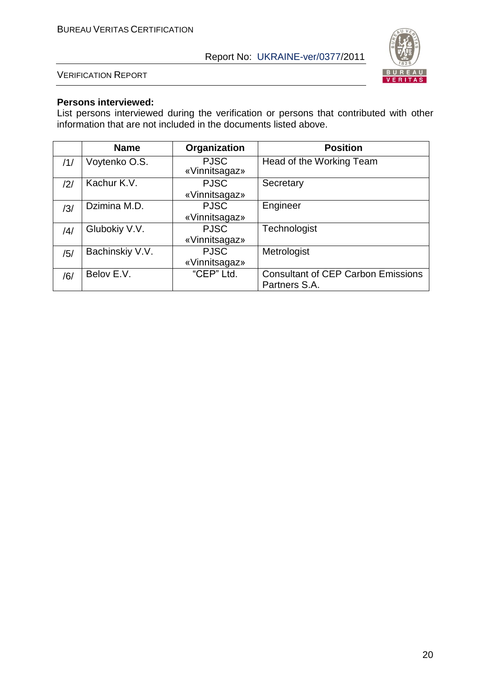

VERIFICATION REPORT

#### **Persons interviewed:**

List persons interviewed during the verification or persons that contributed with other information that are not included in the documents listed above.

|     | <b>Name</b>     | Organization                 | <b>Position</b>                                            |
|-----|-----------------|------------------------------|------------------------------------------------------------|
| /1/ | Voytenko O.S.   | <b>PJSC</b><br>«Vinnitsagaz» | Head of the Working Team                                   |
| /2/ | Kachur K.V.     | <b>PJSC</b><br>«Vinnitsagaz» | Secretary                                                  |
| /3/ | Dzimina M.D.    | <b>PJSC</b><br>«Vinnitsagaz» | Engineer                                                   |
| /4/ | Glubokiy V.V.   | <b>PJSC</b><br>«Vinnitsagaz» | Technologist                                               |
| /5/ | Bachinskiy V.V. | <b>PJSC</b><br>«Vinnitsagaz» | Metrologist                                                |
| /6/ | Belov E.V.      | "CEP" Ltd.                   | <b>Consultant of CEP Carbon Emissions</b><br>Partners S.A. |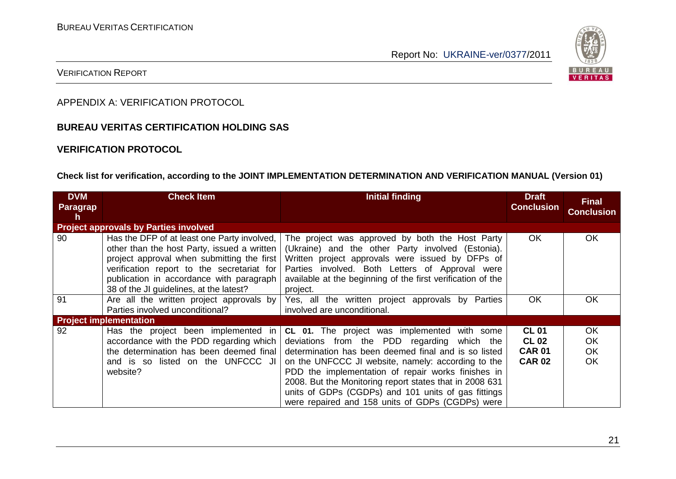

#### VERIFICATION REPORT

APPENDIX A: VERIFICATION PROTOCOL

#### **BUREAU VERITAS CERTIFICATION HOLDING SAS**

#### **VERIFICATION PROTOCOL**

#### **Check list for verification, according to the JOINT IMPLEMENTATION DETERMINATION AND VERIFICATION MANUAL (Version 01)**

| <b>DVM</b><br><b>Paragrap</b><br>h. | <b>Check Item</b>                                                                                                                                                                                                                                                             | <b>Initial finding</b>                                                                                                                                                                                                                                                                                                                                                                                                                       | <b>Draft</b><br><b>Conclusion</b>                              | <b>Final</b><br><b>Conclusion</b>    |
|-------------------------------------|-------------------------------------------------------------------------------------------------------------------------------------------------------------------------------------------------------------------------------------------------------------------------------|----------------------------------------------------------------------------------------------------------------------------------------------------------------------------------------------------------------------------------------------------------------------------------------------------------------------------------------------------------------------------------------------------------------------------------------------|----------------------------------------------------------------|--------------------------------------|
|                                     | <b>Project approvals by Parties involved</b>                                                                                                                                                                                                                                  |                                                                                                                                                                                                                                                                                                                                                                                                                                              |                                                                |                                      |
| 90                                  | Has the DFP of at least one Party involved,<br>other than the host Party, issued a written<br>project approval when submitting the first<br>verification report to the secretariat for<br>publication in accordance with paragraph<br>38 of the JI guidelines, at the latest? | The project was approved by both the Host Party<br>(Ukraine) and the other Party involved (Estonia).<br>Written project approvals were issued by DFPs of<br>Parties involved. Both Letters of Approval were<br>available at the beginning of the first verification of the<br>project.                                                                                                                                                       | OK.                                                            | OK.                                  |
| 91                                  | Are all the written project approvals by<br>Parties involved unconditional?                                                                                                                                                                                                   | Yes, all the written project approvals by Parties<br>involved are unconditional.                                                                                                                                                                                                                                                                                                                                                             | <b>OK</b>                                                      | OK.                                  |
|                                     | <b>Project implementation</b>                                                                                                                                                                                                                                                 |                                                                                                                                                                                                                                                                                                                                                                                                                                              |                                                                |                                      |
| 92                                  | Has the project been implemented in<br>accordance with the PDD regarding which<br>the determination has been deemed final<br>and is so listed on the UNFCCC JI<br>website?                                                                                                    | <b>CL 01.</b> The project was implemented with some<br>deviations from the PDD regarding which the<br>determination has been deemed final and is so listed<br>on the UNFCCC JI website, namely: according to the<br>PDD the implementation of repair works finishes in<br>2008. But the Monitoring report states that in 2008 631<br>units of GDPs (CGDPs) and 101 units of gas fittings<br>were repaired and 158 units of GDPs (CGDPs) were | <b>CL 01</b><br><b>CL 02</b><br><b>CAR 01</b><br><b>CAR 02</b> | OK.<br>OK.<br><b>OK</b><br><b>OK</b> |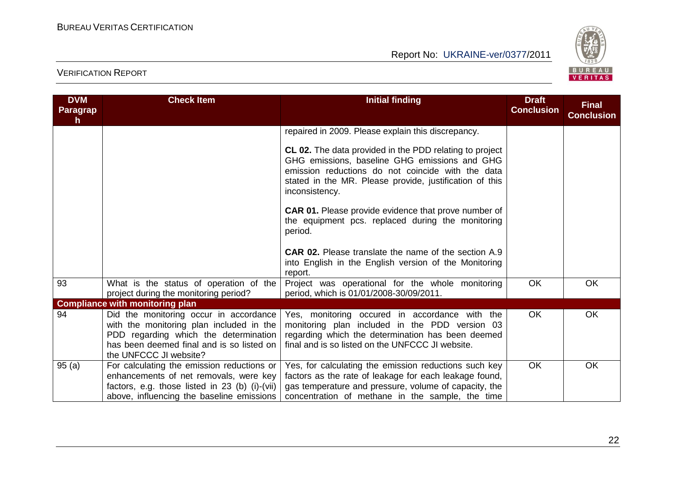

| <b>DVM</b><br>Paragrap<br>h. | <b>Check Item</b>                                                                                                                                                                                  | <b>Initial finding</b>                                                                                                                                                                                                                     | <b>Draft</b><br><b>Conclusion</b> | <b>Final</b><br><b>Conclusion</b> |
|------------------------------|----------------------------------------------------------------------------------------------------------------------------------------------------------------------------------------------------|--------------------------------------------------------------------------------------------------------------------------------------------------------------------------------------------------------------------------------------------|-----------------------------------|-----------------------------------|
|                              |                                                                                                                                                                                                    | repaired in 2009. Please explain this discrepancy.                                                                                                                                                                                         |                                   |                                   |
|                              |                                                                                                                                                                                                    | CL 02. The data provided in the PDD relating to project<br>GHG emissions, baseline GHG emissions and GHG<br>emission reductions do not coincide with the data<br>stated in the MR. Please provide, justification of this<br>inconsistency. |                                   |                                   |
|                              |                                                                                                                                                                                                    | <b>CAR 01.</b> Please provide evidence that prove number of<br>the equipment pcs. replaced during the monitoring<br>period.                                                                                                                |                                   |                                   |
|                              |                                                                                                                                                                                                    | <b>CAR 02.</b> Please translate the name of the section A.9<br>into English in the English version of the Monitoring<br>report.                                                                                                            |                                   |                                   |
| 93                           | What is the status of operation of the<br>project during the monitoring period?                                                                                                                    | Project was operational for the whole monitoring<br>period, which is 01/01/2008-30/09/2011.                                                                                                                                                | OK                                | <b>OK</b>                         |
|                              | <b>Compliance with monitoring plan</b>                                                                                                                                                             |                                                                                                                                                                                                                                            |                                   |                                   |
| 94                           | Did the monitoring occur in accordance<br>with the monitoring plan included in the<br>PDD regarding which the determination<br>has been deemed final and is so listed on<br>the UNFCCC JI website? | Yes, monitoring occured in accordance with the<br>monitoring plan included in the PDD version 03<br>regarding which the determination has been deemed<br>final and is so listed on the UNFCCC JI website.                                  | OK                                | OK                                |
| 95(a)                        | For calculating the emission reductions or<br>enhancements of net removals, were key<br>factors, e.g. those listed in 23 (b) (i)-(vii)<br>above, influencing the baseline emissions                | Yes, for calculating the emission reductions such key<br>factors as the rate of leakage for each leakage found,<br>gas temperature and pressure, volume of capacity, the<br>concentration of methane in the sample, the time               | OK                                | OK                                |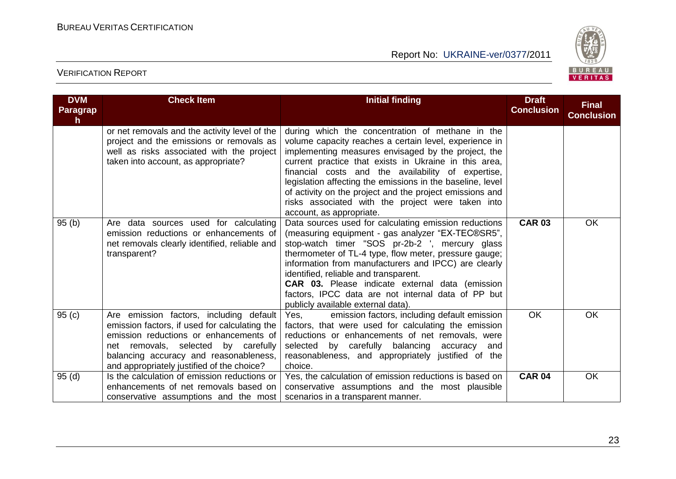

| <b>DVM</b><br><b>Paragrap</b><br>h. | <b>Check Item</b>                                                                                                                                                                                                                                                 | <b>Initial finding</b>                                                                                                                                                                                                                                                                                                                                                                                                                                                                                         | <b>Draft</b><br><b>Conclusion</b> | <b>Final</b><br><b>Conclusion</b> |
|-------------------------------------|-------------------------------------------------------------------------------------------------------------------------------------------------------------------------------------------------------------------------------------------------------------------|----------------------------------------------------------------------------------------------------------------------------------------------------------------------------------------------------------------------------------------------------------------------------------------------------------------------------------------------------------------------------------------------------------------------------------------------------------------------------------------------------------------|-----------------------------------|-----------------------------------|
|                                     | or net removals and the activity level of the<br>project and the emissions or removals as<br>well as risks associated with the project<br>taken into account, as appropriate?                                                                                     | during which the concentration of methane in the<br>volume capacity reaches a certain level, experience in<br>implementing measures envisaged by the project, the<br>current practice that exists in Ukraine in this area,<br>financial costs and the availability of expertise,<br>legislation affecting the emissions in the baseline, level<br>of activity on the project and the project emissions and<br>risks associated with the project were taken into<br>account, as appropriate.                    |                                   |                                   |
| 95(b)                               | Are data sources used for calculating<br>emission reductions or enhancements of<br>net removals clearly identified, reliable and<br>transparent?                                                                                                                  | Data sources used for calculating emission reductions<br>(measuring equipment - gas analyzer "EX-TEC®SR5",<br>stop-watch timer "SOS pr-2b-2 ', mercury glass<br>thermometer of TL-4 type, flow meter, pressure gauge;<br>information from manufacturers and IPCC) are clearly<br>identified, reliable and transparent.<br><b>CAR 03.</b> Please indicate external data (emission<br>factors, IPCC data are not internal data of PP but<br>publicly available external data).                                   | <b>CAR 03</b>                     | OK                                |
| 95(c)                               | Are emission factors, including default<br>emission factors, if used for calculating the<br>emission reductions or enhancements of<br>net removals, selected by carefully<br>balancing accuracy and reasonableness,<br>and appropriately justified of the choice? | emission factors, including default emission<br>Yes. The results of the results of the results of the results of the results of the results of the results of the results of the results of the results of the results of the results of the results of the results of the res<br>factors, that were used for calculating the emission<br>reductions or enhancements of net removals, were<br>selected by carefully balancing accuracy<br>and<br>reasonableness, and appropriately justified of the<br>choice. | <b>OK</b>                         | OK                                |
| 95(d)                               | Is the calculation of emission reductions or<br>enhancements of net removals based on<br>conservative assumptions and the most                                                                                                                                    | Yes, the calculation of emission reductions is based on<br>conservative assumptions and the most plausible<br>scenarios in a transparent manner.                                                                                                                                                                                                                                                                                                                                                               | <b>CAR 04</b>                     | <b>OK</b>                         |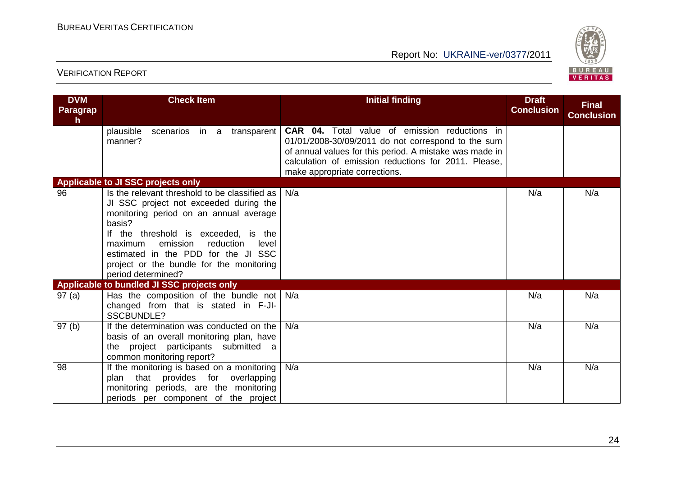

| <b>DVM</b><br>Paragrap<br>h | <b>Check Item</b>                                                                                                                                                                                                                                                                                                                         | <b>Initial finding</b>                                                                                                                                                                                                                                         | <b>Draft</b><br><b>Conclusion</b> | <b>Final</b><br><b>Conclusion</b> |
|-----------------------------|-------------------------------------------------------------------------------------------------------------------------------------------------------------------------------------------------------------------------------------------------------------------------------------------------------------------------------------------|----------------------------------------------------------------------------------------------------------------------------------------------------------------------------------------------------------------------------------------------------------------|-----------------------------------|-----------------------------------|
|                             | plausible<br>scenarios in a<br>transparent<br>manner?                                                                                                                                                                                                                                                                                     | <b>CAR 04.</b> Total value of emission reductions in<br>01/01/2008-30/09/2011 do not correspond to the sum<br>of annual values for this period. A mistake was made in<br>calculation of emission reductions for 2011. Please,<br>make appropriate corrections. |                                   |                                   |
|                             | Applicable to JI SSC projects only                                                                                                                                                                                                                                                                                                        |                                                                                                                                                                                                                                                                |                                   |                                   |
| 96                          | Is the relevant threshold to be classified as<br>JI SSC project not exceeded during the<br>monitoring period on an annual average<br>basis?<br>If the threshold is exceeded, is the<br>emission<br>reduction<br>maximum<br>level<br>estimated in the PDD for the JI SSC<br>project or the bundle for the monitoring<br>period determined? | N/a                                                                                                                                                                                                                                                            | N/a                               | N/a                               |
|                             | Applicable to bundled JI SSC projects only                                                                                                                                                                                                                                                                                                |                                                                                                                                                                                                                                                                |                                   |                                   |
| 97(a)                       | Has the composition of the bundle not<br>changed from that is stated in F-JI-<br><b>SSCBUNDLE?</b>                                                                                                                                                                                                                                        | N/a                                                                                                                                                                                                                                                            | N/a                               | N/a                               |
| 97 <sub>(b)</sub>           | If the determination was conducted on the<br>basis of an overall monitoring plan, have<br>the project participants submitted a<br>common monitoring report?                                                                                                                                                                               | N/a                                                                                                                                                                                                                                                            | N/a                               | N/a                               |
| 98                          | If the monitoring is based on a monitoring<br>plan that provides for overlapping<br>monitoring periods, are the monitoring<br>periods per component of the project                                                                                                                                                                        | N/a                                                                                                                                                                                                                                                            | N/a                               | N/a                               |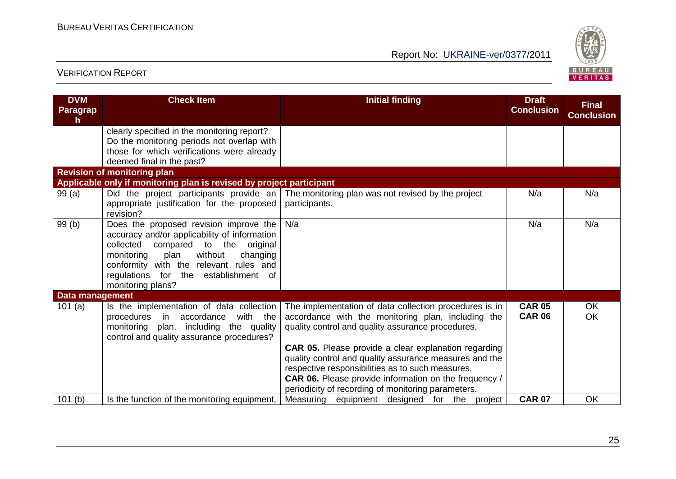

| <b>DVM</b><br><b>Paragrap</b><br>h. | <b>Check Item</b>                                                                                                                                                                                                                                                                         | <b>Initial finding</b>                                                                                                                                                                                                                                                                                                                                                                                         | <b>Draft</b><br><b>Conclusion</b> | <b>Final</b><br><b>Conclusion</b> |
|-------------------------------------|-------------------------------------------------------------------------------------------------------------------------------------------------------------------------------------------------------------------------------------------------------------------------------------------|----------------------------------------------------------------------------------------------------------------------------------------------------------------------------------------------------------------------------------------------------------------------------------------------------------------------------------------------------------------------------------------------------------------|-----------------------------------|-----------------------------------|
|                                     | clearly specified in the monitoring report?<br>Do the monitoring periods not overlap with<br>those for which verifications were already<br>deemed final in the past?                                                                                                                      |                                                                                                                                                                                                                                                                                                                                                                                                                |                                   |                                   |
|                                     | <b>Revision of monitoring plan</b>                                                                                                                                                                                                                                                        |                                                                                                                                                                                                                                                                                                                                                                                                                |                                   |                                   |
|                                     | Applicable only if monitoring plan is revised by project participant                                                                                                                                                                                                                      |                                                                                                                                                                                                                                                                                                                                                                                                                |                                   |                                   |
| 99 (a)                              | Did the project participants provide an<br>appropriate justification for the proposed<br>revision?                                                                                                                                                                                        | The monitoring plan was not revised by the project<br>participants.                                                                                                                                                                                                                                                                                                                                            | N/a                               | N/a                               |
| 99 (b)                              | Does the proposed revision improve the<br>accuracy and/or applicability of information<br>collected<br>compared<br>to the<br>original<br>without<br>monitoring<br>plan<br>changing<br>conformity with the relevant rules and<br>regulations for the establishment of<br>monitoring plans? | N/a                                                                                                                                                                                                                                                                                                                                                                                                            | N/a                               | N/a                               |
| <b>Data management</b>              |                                                                                                                                                                                                                                                                                           |                                                                                                                                                                                                                                                                                                                                                                                                                |                                   |                                   |
| 101 $(a)$                           | Is the implementation of data collection<br>accordance<br>with the<br>procedures in<br>monitoring plan, including the quality<br>control and quality assurance procedures?                                                                                                                | The implementation of data collection procedures is in<br>accordance with the monitoring plan, including the<br>quality control and quality assurance procedures.<br><b>CAR 05.</b> Please provide a clear explanation regarding<br>quality control and quality assurance measures and the<br>respective responsibilities as to such measures.<br><b>CAR 06.</b> Please provide information on the frequency / | <b>CAR 05</b><br><b>CAR 06</b>    | OK.<br><b>OK</b>                  |
|                                     |                                                                                                                                                                                                                                                                                           | periodicity of recording of monitoring parameters.                                                                                                                                                                                                                                                                                                                                                             |                                   |                                   |
| 101(b)                              | Is the function of the monitoring equipment,                                                                                                                                                                                                                                              | Measuring equipment designed for the project                                                                                                                                                                                                                                                                                                                                                                   | <b>CAR 07</b>                     | <b>OK</b>                         |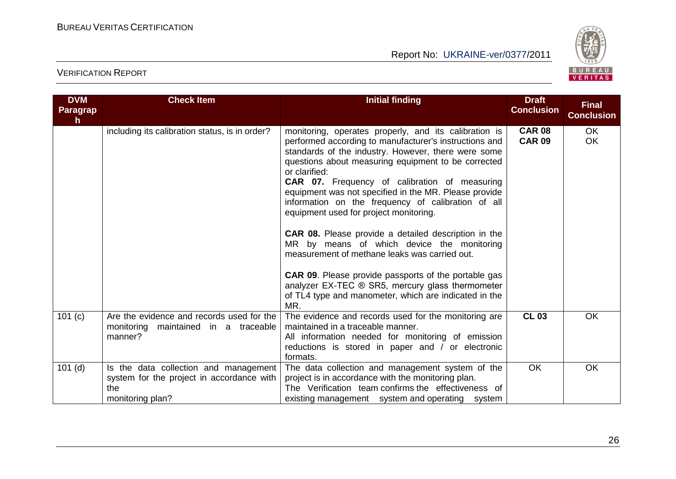

| <b>DVM</b><br><b>Paragrap</b><br>h. | <b>Check Item</b>                                                                                             | <b>Initial finding</b>                                                                                                                                                                                                                                                                                                                                                                                                                                                                                                                                                                                                                                                                                                                                                                                    | <b>Draft</b><br><b>Conclusion</b> | <b>Final</b><br><b>Conclusion</b> |
|-------------------------------------|---------------------------------------------------------------------------------------------------------------|-----------------------------------------------------------------------------------------------------------------------------------------------------------------------------------------------------------------------------------------------------------------------------------------------------------------------------------------------------------------------------------------------------------------------------------------------------------------------------------------------------------------------------------------------------------------------------------------------------------------------------------------------------------------------------------------------------------------------------------------------------------------------------------------------------------|-----------------------------------|-----------------------------------|
|                                     | including its calibration status, is in order?                                                                | monitoring, operates properly, and its calibration is<br>performed according to manufacturer's instructions and<br>standards of the industry. However, there were some<br>questions about measuring equipment to be corrected<br>or clarified:<br>CAR 07. Frequency of calibration of measuring<br>equipment was not specified in the MR. Please provide<br>information on the frequency of calibration of all<br>equipment used for project monitoring.<br><b>CAR 08.</b> Please provide a detailed description in the<br>MR by means of which device the monitoring<br>measurement of methane leaks was carried out.<br><b>CAR 09.</b> Please provide passports of the portable gas<br>analyzer EX-TEC ® SR5, mercury glass thermometer<br>of TL4 type and manometer, which are indicated in the<br>MR. | <b>CAR 08</b><br><b>CAR 09</b>    | <b>OK</b><br><b>OK</b>            |
| 101(c)                              | Are the evidence and records used for the<br>monitoring maintained in a traceable<br>manner?                  | The evidence and records used for the monitoring are<br>maintained in a traceable manner.<br>All information needed for monitoring of emission<br>reductions is stored in paper and / or electronic<br>formats.                                                                                                                                                                                                                                                                                                                                                                                                                                                                                                                                                                                           | <b>CL 03</b>                      | OK                                |
| $101$ (d)                           | Is the data collection and management<br>system for the project in accordance with<br>the<br>monitoring plan? | The data collection and management system of the<br>project is in accordance with the monitoring plan.<br>The Verification team confirms the effectiveness of<br>existing management system and operating system                                                                                                                                                                                                                                                                                                                                                                                                                                                                                                                                                                                          | OK                                | OK                                |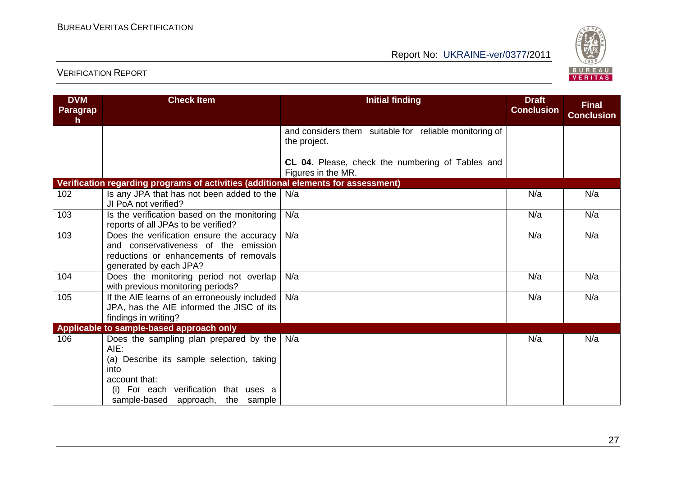

| <b>DVM</b><br>Paragrap<br>h | <b>Check Item</b>                                                                                                                                                                                     | <b>Initial finding</b>                                                 | <b>Draft</b><br><b>Conclusion</b> | <b>Final</b><br><b>Conclusion</b> |
|-----------------------------|-------------------------------------------------------------------------------------------------------------------------------------------------------------------------------------------------------|------------------------------------------------------------------------|-----------------------------------|-----------------------------------|
|                             |                                                                                                                                                                                                       | and considers them suitable for reliable monitoring of<br>the project. |                                   |                                   |
|                             |                                                                                                                                                                                                       | CL 04. Please, check the numbering of Tables and<br>Figures in the MR. |                                   |                                   |
|                             | Verification regarding programs of activities (additional elements for assessment)                                                                                                                    |                                                                        |                                   |                                   |
| 102                         | Is any JPA that has not been added to the<br>JI PoA not verified?                                                                                                                                     | N/a                                                                    | N/a                               | N/a                               |
| 103                         | Is the verification based on the monitoring<br>reports of all JPAs to be verified?                                                                                                                    | N/a                                                                    | N/a                               | N/a                               |
| 103                         | Does the verification ensure the accuracy<br>and conservativeness of the emission<br>reductions or enhancements of removals<br>generated by each JPA?                                                 | N/a                                                                    | N/a                               | N/a                               |
| 104                         | Does the monitoring period not overlap<br>with previous monitoring periods?                                                                                                                           | N/a                                                                    | N/a                               | N/a                               |
| 105                         | If the AIE learns of an erroneously included<br>JPA, has the AIE informed the JISC of its<br>findings in writing?                                                                                     | N/a                                                                    | N/a                               | N/a                               |
|                             | Applicable to sample-based approach only                                                                                                                                                              |                                                                        |                                   |                                   |
| 106                         | Does the sampling plan prepared by the<br>$AIE$ :<br>(a) Describe its sample selection, taking<br>into<br>account that:<br>(i) For each verification that uses a<br>sample-based approach, the sample | N/a                                                                    | N/a                               | N/a                               |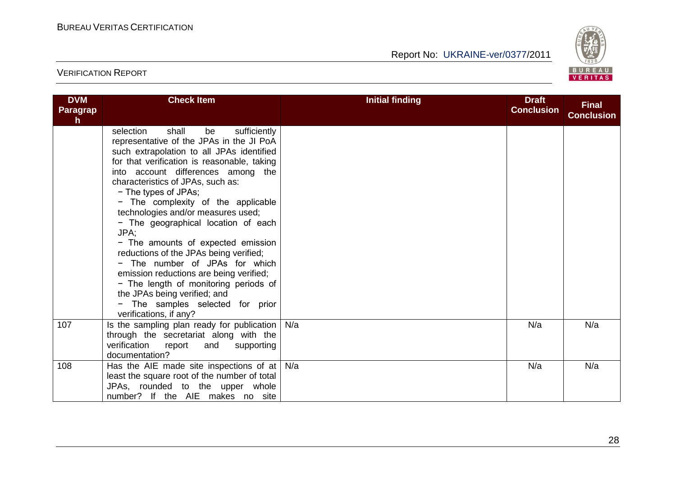

| <b>DVM</b><br><b>Paragrap</b><br>h | <b>Check Item</b>                                                                                                                                                                                                                                                                                                                                                                                                                                                                                                                                                                                                                                                                                                  | <b>Initial finding</b> | <b>Draft</b><br><b>Conclusion</b> | <b>Final</b><br><b>Conclusion</b> |
|------------------------------------|--------------------------------------------------------------------------------------------------------------------------------------------------------------------------------------------------------------------------------------------------------------------------------------------------------------------------------------------------------------------------------------------------------------------------------------------------------------------------------------------------------------------------------------------------------------------------------------------------------------------------------------------------------------------------------------------------------------------|------------------------|-----------------------------------|-----------------------------------|
|                                    | sufficiently<br>selection<br>shall<br>be<br>representative of the JPAs in the JI PoA<br>such extrapolation to all JPAs identified<br>for that verification is reasonable, taking<br>into account differences among the<br>characteristics of JPAs, such as:<br>- The types of JPAs;<br>- The complexity of the applicable<br>technologies and/or measures used;<br>- The geographical location of each<br>JPA:<br>- The amounts of expected emission<br>reductions of the JPAs being verified;<br>- The number of JPAs for which<br>emission reductions are being verified;<br>- The length of monitoring periods of<br>the JPAs being verified; and<br>- The samples selected for prior<br>verifications, if any? |                        |                                   |                                   |
| 107                                | Is the sampling plan ready for publication<br>through the secretariat along with the<br>verification<br>report<br>and<br>supporting<br>documentation?                                                                                                                                                                                                                                                                                                                                                                                                                                                                                                                                                              | N/a                    | N/a                               | N/a                               |
| 108                                | Has the AIE made site inspections of at<br>least the square root of the number of total<br>JPAs, rounded to the upper whole<br>number? If the AIE makes no site                                                                                                                                                                                                                                                                                                                                                                                                                                                                                                                                                    | N/a                    | N/a                               | N/a                               |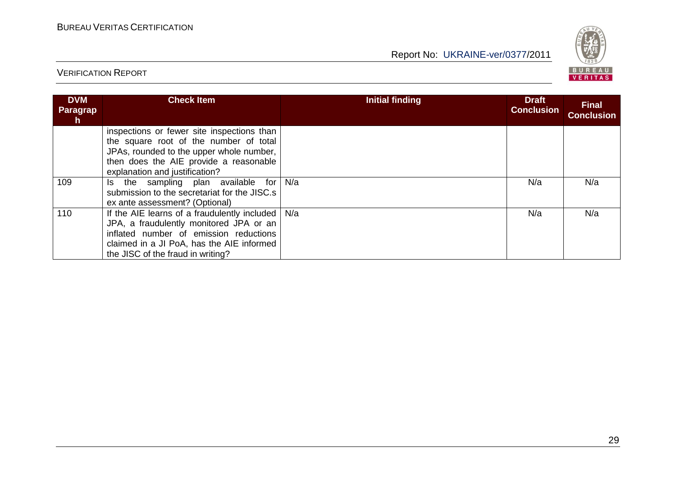

| <b>DVM</b><br>Paragrap<br>h. | <b>Check Item</b>                                                                                                                                                                                                   | <b>Initial finding</b> | <b>Draft</b><br><b>Conclusion</b> | <b>Final</b><br><b>Conclusion</b> |
|------------------------------|---------------------------------------------------------------------------------------------------------------------------------------------------------------------------------------------------------------------|------------------------|-----------------------------------|-----------------------------------|
|                              | inspections or fewer site inspections than<br>the square root of the number of total<br>JPAs, rounded to the upper whole number,<br>then does the AIE provide a reasonable<br>explanation and justification?        |                        |                                   |                                   |
| 109                          | Is the sampling plan available for<br>submission to the secretariat for the JISC.s<br>ex ante assessment? (Optional)                                                                                                | N/a                    | N/a                               | N/a                               |
| 110                          | If the AIE learns of a fraudulently included<br>JPA, a fraudulently monitored JPA or an<br>inflated number of emission reductions<br>claimed in a JI PoA, has the AIE informed<br>the JISC of the fraud in writing? | N/a                    | N/a                               | N/a                               |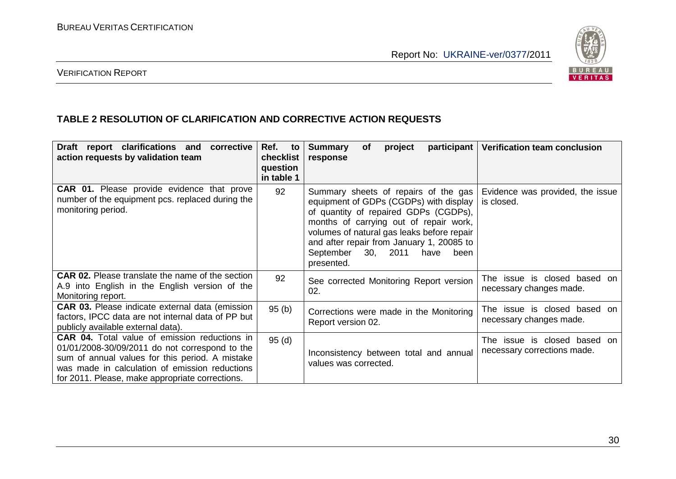

#### VERIFICATION REPORT

#### **TABLE 2 RESOLUTION OF CLARIFICATION AND CORRECTIVE ACTION REQUESTS**

| Draft report clarifications and<br>corrective<br>action requests by validation team                                                                                                                                                                            | Ref.<br>to<br>checklist<br>question<br>in table 1 | <b>Summary</b><br>participant<br>project<br><b>of</b><br>response                                                                                                                                                                                                                                                | <b>Verification team conclusion</b>                         |
|----------------------------------------------------------------------------------------------------------------------------------------------------------------------------------------------------------------------------------------------------------------|---------------------------------------------------|------------------------------------------------------------------------------------------------------------------------------------------------------------------------------------------------------------------------------------------------------------------------------------------------------------------|-------------------------------------------------------------|
| <b>CAR 01.</b> Please provide evidence that prove<br>number of the equipment pcs. replaced during the<br>monitoring period.                                                                                                                                    | 92                                                | Summary sheets of repairs of the gas<br>equipment of GDPs (CGDPs) with display<br>of quantity of repaired GDPs (CGDPs),<br>months of carrying out of repair work,<br>volumes of natural gas leaks before repair<br>and after repair from January 1, 20085 to<br>September 30, 2011<br>been<br>have<br>presented. | Evidence was provided, the issue<br>is closed.              |
| <b>CAR 02.</b> Please translate the name of the section<br>A.9 into English in the English version of the<br>Monitoring report.                                                                                                                                | 92                                                | See corrected Monitoring Report version<br>02.                                                                                                                                                                                                                                                                   | The issue is closed based<br>on<br>necessary changes made.  |
| <b>CAR 03.</b> Please indicate external data (emission<br>factors, IPCC data are not internal data of PP but<br>publicly available external data).                                                                                                             | 95(b)                                             | Corrections were made in the Monitoring<br>Report version 02.                                                                                                                                                                                                                                                    | The issue is closed based on<br>necessary changes made.     |
| <b>CAR 04.</b> Total value of emission reductions in<br>01/01/2008-30/09/2011 do not correspond to the<br>sum of annual values for this period. A mistake<br>was made in calculation of emission reductions<br>for 2011. Please, make appropriate corrections. | 95(d)                                             | Inconsistency between total and annual<br>values was corrected.                                                                                                                                                                                                                                                  | The issue is closed based on<br>necessary corrections made. |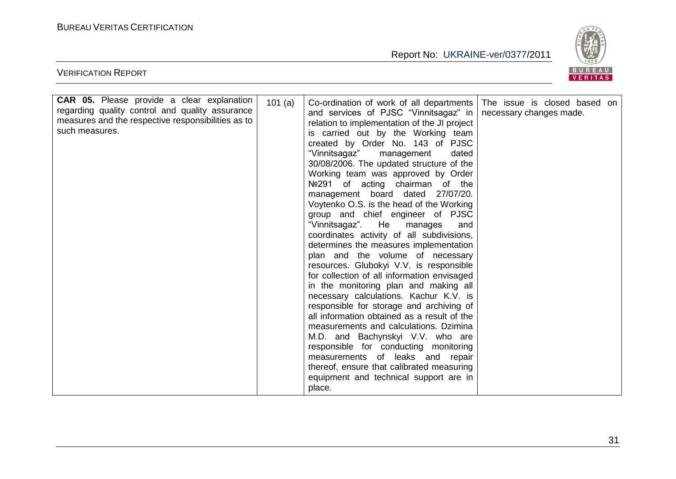VERIFICATION REPORT

Report No: UKRAINE-ver/0377/2011



| <b>CAR 05.</b> Please provide a clear explanation<br>regarding quality control and quality assurance<br>measures and the respective responsibilities as to<br>such measures. | 101(a) | Co-ordination of work of all departments<br>and services of PJSC "Vinnitsagaz" in<br>relation to implementation of the JI project<br>is carried out by the Working team<br>created by Order No. 143 of PJSC<br>"Vinnitsagaz"<br>management<br>dated<br>30/08/2006. The updated structure of the<br>Working team was approved by Order<br>Nº291 of acting chairman of the<br>management board dated 27/07/20.<br>Voytenko O.S. is the head of the Working<br>group and chief engineer of PJSC<br>"Vinnitsagaz".<br>He<br>manages<br>and<br>coordinates activity of all subdivisions,<br>determines the measures implementation<br>plan and the volume of necessary<br>resources. Glubokyi V.V. is responsible<br>for collection of all information envisaged<br>in the monitoring plan and making all<br>necessary calculations. Kachur K.V. is<br>responsible for storage and archiving of<br>all information obtained as a result of the<br>measurements and calculations. Dzimina<br>M.D. and Bachynskyi V.V. who are<br>responsible for conducting monitoring<br>measurements of leaks and repair<br>thereof, ensure that calibrated measuring<br>equipment and technical support are in<br>place. | The issue is closed based on<br>necessary changes made. |
|------------------------------------------------------------------------------------------------------------------------------------------------------------------------------|--------|-------------------------------------------------------------------------------------------------------------------------------------------------------------------------------------------------------------------------------------------------------------------------------------------------------------------------------------------------------------------------------------------------------------------------------------------------------------------------------------------------------------------------------------------------------------------------------------------------------------------------------------------------------------------------------------------------------------------------------------------------------------------------------------------------------------------------------------------------------------------------------------------------------------------------------------------------------------------------------------------------------------------------------------------------------------------------------------------------------------------------------------------------------------------------------------------------------|---------------------------------------------------------|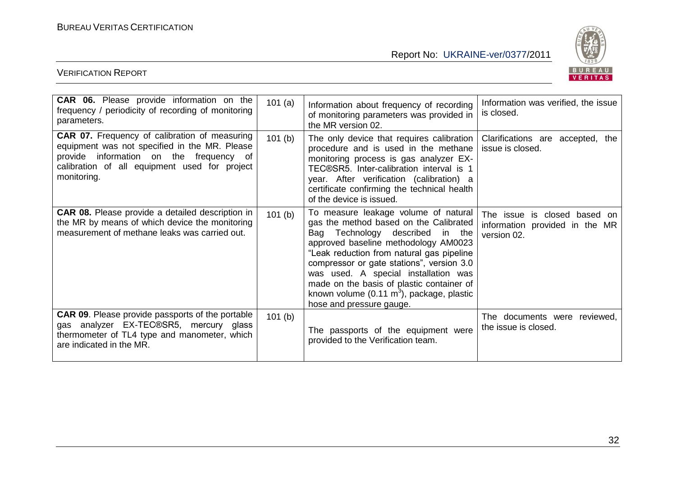

| <b>CAR 06.</b> Please provide information on the<br>frequency / periodicity of recording of monitoring<br>parameters.                                                                                            | 101(a) | Information about frequency of recording<br>of monitoring parameters was provided in<br>the MR version 02.                                                                                                                                                                                                                                                                                                                   | Information was verified, the issue<br>is closed.                             |
|------------------------------------------------------------------------------------------------------------------------------------------------------------------------------------------------------------------|--------|------------------------------------------------------------------------------------------------------------------------------------------------------------------------------------------------------------------------------------------------------------------------------------------------------------------------------------------------------------------------------------------------------------------------------|-------------------------------------------------------------------------------|
| <b>CAR 07.</b> Frequency of calibration of measuring<br>equipment was not specified in the MR. Please<br>provide information on the frequency of<br>calibration of all equipment used for project<br>monitoring. | 101(b) | The only device that requires calibration<br>procedure and is used in the methane<br>monitoring process is gas analyzer EX-<br>TEC®SR5. Inter-calibration interval is 1<br>year. After verification (calibration) a<br>certificate confirming the technical health<br>of the device is issued.                                                                                                                               | Clarifications are accepted, the<br>issue is closed.                          |
| <b>CAR 08.</b> Please provide a detailed description in<br>the MR by means of which device the monitoring<br>measurement of methane leaks was carried out.                                                       | 101(b) | To measure leakage volume of natural<br>gas the method based on the Calibrated<br>Bag Technology described in the<br>approved baseline methodology AM0023<br>"Leak reduction from natural gas pipeline<br>compressor or gate stations", version 3.0<br>was used. A special installation was<br>made on the basis of plastic container of<br>known volume $(0.11 \text{ m}^3)$ , package, plastic<br>hose and pressure gauge. | The issue is closed based on<br>information provided in the MR<br>version 02. |
| <b>CAR 09.</b> Please provide passports of the portable<br>gas analyzer EX-TEC®SR5, mercury glass<br>thermometer of TL4 type and manometer, which<br>are indicated in the MR.                                    | 101(b) | The passports of the equipment were<br>provided to the Verification team.                                                                                                                                                                                                                                                                                                                                                    | The documents were reviewed,<br>the issue is closed.                          |